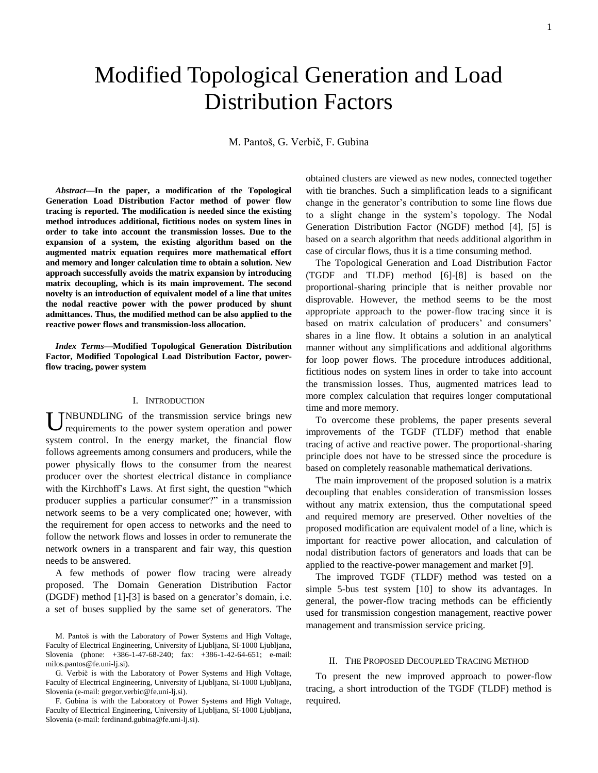# Modified Topological Generation and Load Distribution Factors

M. Pantoš, G. Verbič, F. Gubina

*Abstract***—In the paper, a modification of the Topological Generation Load Distribution Factor method of power flow tracing is reported. The modification is needed since the existing method introduces additional, fictitious nodes on system lines in order to take into account the transmission losses. Due to the expansion of a system, the existing algorithm based on the augmented matrix equation requires more mathematical effort and memory and longer calculation time to obtain a solution. New approach successfully avoids the matrix expansion by introducing matrix decoupling, which is its main improvement. The second novelty is an introduction of equivalent model of a line that unites the nodal reactive power with the power produced by shunt admittances. Thus, the modified method can be also applied to the reactive power flows and transmission-loss allocation.**

*Index Terms***—Modified Topological Generation Distribution Factor, Modified Topological Load Distribution Factor, powerflow tracing, power system**

# I. INTRODUCTION

UNBUNDLING of the transmission service brings new requirements to the power system operation and power requirements to the power system operation and power system control. In the energy market, the financial flow follows agreements among consumers and producers, while the power physically flows to the consumer from the nearest producer over the shortest electrical distance in compliance with the Kirchhoff's Laws. At first sight, the question "which producer supplies a particular consumer?" in a transmission network seems to be a very complicated one; however, with the requirement for open access to networks and the need to follow the network flows and losses in order to remunerate the network owners in a transparent and fair way, this question needs to be answered.

A few methods of power flow tracing were already proposed. The Domain Generation Distribution Factor (DGDF) method [1]-[3] is based on a generator's domain, i.e. a set of buses supplied by the same set of generators. The

G. Verbič is with the Laboratory of Power Systems and High Voltage, Faculty of Electrical Engineering, University of Ljubljana, SI-1000 Ljubljana, Slovenia (e-mail: gregor.verbic@fe.uni-lj.si).

F. Gubina is with the Laboratory of Power Systems and High Voltage, Faculty of Electrical Engineering, University of Ljubljana, SI-1000 Ljubljana, Slovenia (e-mail: ferdinand.gubina@fe.uni-lj.si).

obtained clusters are viewed as new nodes, connected together with tie branches. Such a simplification leads to a significant change in the generator's contribution to some line flows due to a slight change in the system's topology. The Nodal Generation Distribution Factor (NGDF) method [4], [5] is based on a search algorithm that needs additional algorithm in case of circular flows, thus it is a time consuming method.

The Topological Generation and Load Distribution Factor (TGDF and TLDF) method [6]-[8] is based on the proportional-sharing principle that is neither provable nor disprovable. However, the method seems to be the most appropriate approach to the power-flow tracing since it is based on matrix calculation of producers' and consumers' shares in a line flow. It obtains a solution in an analytical manner without any simplifications and additional algorithms for loop power flows. The procedure introduces additional, fictitious nodes on system lines in order to take into account the transmission losses. Thus, augmented matrices lead to more complex calculation that requires longer computational time and more memory.

To overcome these problems, the paper presents several improvements of the TGDF (TLDF) method that enable tracing of active and reactive power. The proportional-sharing principle does not have to be stressed since the procedure is based on completely reasonable mathematical derivations.

The main improvement of the proposed solution is a matrix decoupling that enables consideration of transmission losses without any matrix extension, thus the computational speed and required memory are preserved. Other novelties of the proposed modification are equivalent model of a line, which is important for reactive power allocation, and calculation of nodal distribution factors of generators and loads that can be applied to the reactive-power management and market [9].

The improved TGDF (TLDF) method was tested on a simple 5-bus test system [10] to show its advantages. In general, the power-flow tracing methods can be efficiently used for transmission congestion management, reactive power management and transmission service pricing.

# II. THE PROPOSED DECOUPLED TRACING METHOD

To present the new improved approach to power-flow tracing, a short introduction of the TGDF (TLDF) method is required.

M. Pantoš is with the Laboratory of Power Systems and High Voltage, Faculty of Electrical Engineering, University of Ljubljana, SI-1000 Ljubljana, Slovenia (phone: +386-1-47-68-240; fax: +386-1-42-64-651; e-mail: milos.pantos@fe.uni-lj.si).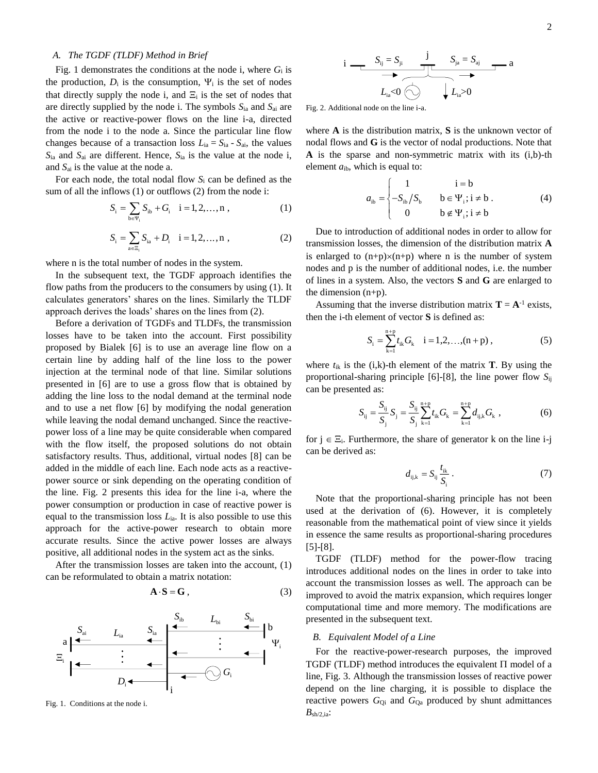#### *A. The TGDF (TLDF) Method in Brief*

Fig. 1 demonstrates the conditions at the node i, where *G*<sup>i</sup> is the production,  $D_i$  is the consumption,  $\Psi_i$  is the set of nodes that directly supply the node i, and  $\Xi_i$  is the set of nodes that are directly supplied by the node i. The symbols *S*ia and *S*ai are the active or reactive-power flows on the line i-a, directed from the node i to the node a. Since the particular line flow changes because of a transaction loss  $L_{ia} = S_{ia} - S_{ai}$ , the values *S*ia and *S*ai are different. Hence, *S*ia is the value at the node i, and *S*ai is the value at the node a.

For each node, the total nodal flow *S*<sup>i</sup> can be defined as the sum of all the inflows (1) or outflows (2) from the node i:

$$
S_i = \sum_{b \in \Psi_i} S_{ib} + G_i \quad i = 1, 2, ..., n \tag{1}
$$

$$
S_i = \sum_{a \in \Xi_i} S_{ia} + D_i \quad i = 1, 2, ..., n \tag{2}
$$

where n is the total number of nodes in the system.

In the subsequent text, the TGDF approach identifies the flow paths from the producers to the consumers by using (1). It calculates generators' shares on the lines. Similarly the TLDF approach derives the loads' shares on the lines from (2).

Before a derivation of TGDFs and TLDFs, the transmission losses have to be taken into the account. First possibility proposed by Bialek [6] is to use an average line flow on a certain line by adding half of the line loss to the power injection at the terminal node of that line. Similar solutions presented in [6] are to use a gross flow that is obtained by adding the line loss to the nodal demand at the terminal node and to use a net flow [6] by modifying the nodal generation while leaving the nodal demand unchanged. Since the reactivepower loss of a line may be quite considerable when compared with the flow itself, the proposed solutions do not obtain satisfactory results. Thus, additional, virtual nodes [8] can be added in the middle of each line. Each node acts as a reactivepower source or sink depending on the operating condition of the line. Fig. 2 presents this idea for the line i-a, where the power consumption or production in case of reactive power is equal to the transmission loss  $L_{ia}$ . It is also possible to use this approach for the active-power research to obtain more accurate results. Since the active power losses are always positive, all additional nodes in the system act as the sinks.

After the transmission losses are taken into the account, (1) can be reformulated to obtain a matrix notation:

$$
\mathbf{A} \cdot \mathbf{S} = \mathbf{G} \,, \tag{3}
$$



Fig. 1. Conditions at the node i.

$$
i \longrightarrow S_{ij} = S_{ji} \qquad \qquad \underbrace{S_{ij} = S_{aj}}_{L_{ia} < 0 \qquad \qquad} \qquad \underbrace{S_{ja} = S_{aj}}_{L_{ia} > 0} \qquad \qquad \underbrace{I_{ia} < 0}
$$

Fig. 2. Additional node on the line i-a.

where **A** is the distribution matrix, **S** is the unknown vector of nodal flows and **G** is the vector of nodal productions. Note that **A** is the sparse and non-symmetric matrix with its (i,b)-th element  $a_{ib}$ , which is equal to:

$$
a_{ib} = \begin{cases} 1 & i = b \\ -S_{ib}/S_b & b \in \Psi_i; i \neq b \\ 0 & b \notin \Psi_i; i \neq b \end{cases}
$$
 (4)

Due to introduction of additional nodes in order to allow for transmission losses, the dimension of the distribution matrix **A** is enlarged to  $(n+p)\times(n+p)$  where n is the number of system nodes and p is the number of additional nodes, i.e. the number of lines in a system. Also, the vectors **S** and **G** are enlarged to the dimension (n+p).

Assuming that the inverse distribution matrix  $T = A^{-1}$  exists, then the i-th element of vector **S** is defined as:

$$
S_i = \sum_{k=1}^{n+p} t_{ik} G_k \quad i = 1, 2, ..., (n+p) ,
$$
 (5)

where  $t_{ik}$  is the (i,k)-th element of the matrix **T**. By using the proportional-sharing principle [6]-[8], the line power flow *S*ij can be presented as:

$$
S_{ij} = \frac{S_{ij}}{S_j} S_j = \frac{S_{ij}}{S_j} \sum_{k=1}^{n+p} t_{ik} G_k = \sum_{k=1}^{n+p} d_{ijk} G_k,
$$
 (6)

for  $j \in \Xi_i$ . Furthermore, the share of generator k on the line i-j can be derived as:

$$
d_{ij,k} = S_{ij} \frac{t_{ik}}{S_i} \,. \tag{7}
$$

Note that the proportional-sharing principle has not been used at the derivation of (6). However, it is completely reasonable from the mathematical point of view since it yields in essence the same results as proportional-sharing procedures [5]-[8].

TGDF (TLDF) method for the power-flow tracing introduces additional nodes on the lines in order to take into account the transmission losses as well. The approach can be improved to avoid the matrix expansion, which requires longer computational time and more memory. The modifications are presented in the subsequent text.

#### *B. Equivalent Model of a Line*

For the reactive-power-research purposes, the improved TGDF (TLDF) method introduces the equivalent  $\Pi$  model of a line, Fig. 3. Although the transmission losses of reactive power depend on the line charging, it is possible to displace the reactive powers  $G_{Qi}$  and  $G_{Qa}$  produced by shunt admittances  $B_{\text{sh}/2$ ,ia: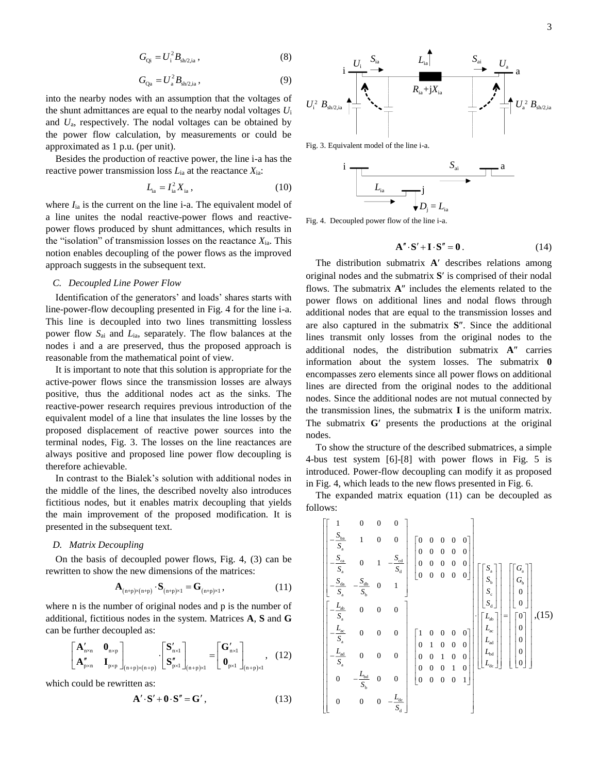$$
G_{Qi} = U_i^2 B_{sh/2,ia} \,, \tag{8}
$$

$$
G_{\mathbf{Q}_a} = U_a^2 B_{\mathbf{sh}/2,\mathbf{ia}}\,,\tag{9}
$$

into the nearby nodes with an assumption that the voltages of the shunt admittances are equal to the nearby nodal voltages *U*<sup>i</sup> and *U*a, respectively. The nodal voltages can be obtained by the power flow calculation, by measurements or could be approximated as 1 p.u. (per unit).

Besides the production of reactive power, the line i-a has the reactive power transmission loss *L*ia at the reactance *X*ia:

$$
L_{\rm ia} = I_{\rm ia}^2 X_{\rm ia} \,, \tag{10}
$$

where  $I_{ia}$  is the current on the line i-a. The equivalent model of a line unites the nodal reactive-power flows and reactivepower flows produced by shunt admittances, which results in the "isolation" of transmission losses on the reactance *X*ia. This notion enables decoupling of the power flows as the improved approach suggests in the subsequent text.

# *C. Decoupled Line Power Flow*

Identification of the generators' and loads' shares starts with line-power-flow decoupling presented in Fig. 4 for the line i-a. This line is decoupled into two lines transmitting lossless power flow *S*ai and *L*ia, separately. The flow balances at the nodes i and a are preserved, thus the proposed approach is reasonable from the mathematical point of view.

It is important to note that this solution is appropriate for the active-power flows since the transmission losses are always positive, thus the additional nodes act as the sinks. The reactive-power research requires previous introduction of the equivalent model of a line that insulates the line losses by the proposed displacement of reactive power sources into the terminal nodes, Fig. 3. The losses on the line reactances are always positive and proposed line power flow decoupling is therefore achievable.

In contrast to the Bialek's solution with additional nodes in the middle of the lines, the described novelty also introduces fictitious nodes, but it enables matrix decoupling that yields the main improvement of the proposed modification. It is presented in the subsequent text.

# *D. Matrix Decoupling*

On the basis of decoupled power flows, Fig. 4, (3) can be rewritten to show the new dimensions of the matrices:

$$
\mathbf{A}_{(n+p)\times(n+p)} \cdot \mathbf{S}_{(n+p)\times 1} = \mathbf{G}_{(n+p)\times 1}, \tag{11}
$$

where n is the number of original nodes and p is the number of additional, fictitious nodes in the system. Matrices **A**, **S** and **G** can be further decoupled as:

$$
\begin{bmatrix}\n\mathbf{A}'_{n \times n} & \mathbf{0}_{n \times p} \\
\mathbf{A}''_{p \times n} & \mathbf{I}_{p \times p}\n\end{bmatrix}_{(n+p) \times (n+p)} \cdot \begin{bmatrix}\n\mathbf{S}'_{n \times 1} \\
\mathbf{S}''_{p \times 1}\n\end{bmatrix}_{(n+p) \times 1} = \begin{bmatrix}\n\mathbf{G}'_{n \times 1} \\
\mathbf{0}_{p \times 1}\n\end{bmatrix}_{(n+p) \times 1}, \quad (12)
$$

which could be rewritten as:

$$
\mathbf{A}' \cdot \mathbf{S}' + \mathbf{0} \cdot \mathbf{S}'' = \mathbf{G}'\,,\tag{13}
$$



Fig. 3. Equivalent model of the line i-a.



Fig. 4. Decoupled power flow of the line i-a.

$$
\mathbf{A}'' \cdot \mathbf{S}' + \mathbf{I} \cdot \mathbf{S}'' = \mathbf{0} \,. \tag{14}
$$

The distribution submatrix A' describes relations among original nodes and the submatrix S' is comprised of their nodal flows. The submatrix  $A''$  includes the elements related to the power flows on additional lines and nodal flows through additional nodes that are equal to the transmission losses and are also captured in the submatrix S". Since the additional lines transmit only losses from the original nodes to the additional nodes, the distribution submatrix A" carries information about the system losses. The submatrix **0** encompasses zero elements since all power flows on additional lines are directed from the original nodes to the additional nodes. Since the additional nodes are not mutual connected by the transmission lines, the submatrix **I** is the uniform matrix. The submatrix  $G'$  presents the productions at the original nodes.

To show the structure of the described submatrices, a simple 4-bus test system [6]-[8] with power flows in Fig. 5 is introduced. Power-flow decoupling can modify it as proposed in Fig. 4, which leads to the new flows presented in Fig. 6.

The expanded matrix equation (11) can be decoupled as follows:

$$
\begin{bmatrix}\n1 & 0 & 0 & 0 \\
-\frac{S_{ba}}{S_a} & 1 & 0 & 0 \\
-\frac{S_{ca}}{S_a} & 0 & 1 & -\frac{S_{cd}}{S_d} \\
-\frac{S_{da}}{S_a} & -\frac{S_{db}}{S_b} & 0 & 1\n\end{bmatrix}\n\begin{bmatrix}\n0 & 0 & 0 & 0 & 0 \\
0 & 0 & 0 & 0 & 0 \\
0 & 0 & 0 & 0 & 0 \\
0 & 0 & 0 & 0 & 0\n\end{bmatrix}\n\begin{bmatrix}\nS_a \\
S_b \\
S_c \\
S_d\n\end{bmatrix}\n\begin{bmatrix}\nS_a \\
S_b \\
S_c \\
0\n\end{bmatrix}
$$
\n
$$
\begin{bmatrix}\n-\frac{L_{ab}}{S_a} & 0 & 0 & 0 \\
-\frac{L_{ac}}{S_a} & 0 & 0 & 0 \\
-\frac{L_{ad}}{S_a} & 0 & 0 & 0 \\
0 & 0 & 0 & 0 & 0 \\
-\frac{L_{bd}}{S_a} & 0 & 0 & 0\n\end{bmatrix}\n\begin{bmatrix}\n1 & 0 & 0 & 0 & 0 \\
0 & 1 & 0 & 0 & 0 \\
0 & 0 & 1 & 0 & 0 \\
0 & 0 & 0 & 1 & 0 \\
0 & 0 & 0 & 0 & 1\n\end{bmatrix}\n\begin{bmatrix}\nL_{ab} \\
L_{bc} \\
L_{bd} \\
L_{bd}\n\end{bmatrix}\n\begin{bmatrix}\n0 \\
0 \\
0 \\
0 \\
0\n\end{bmatrix}, (15)
$$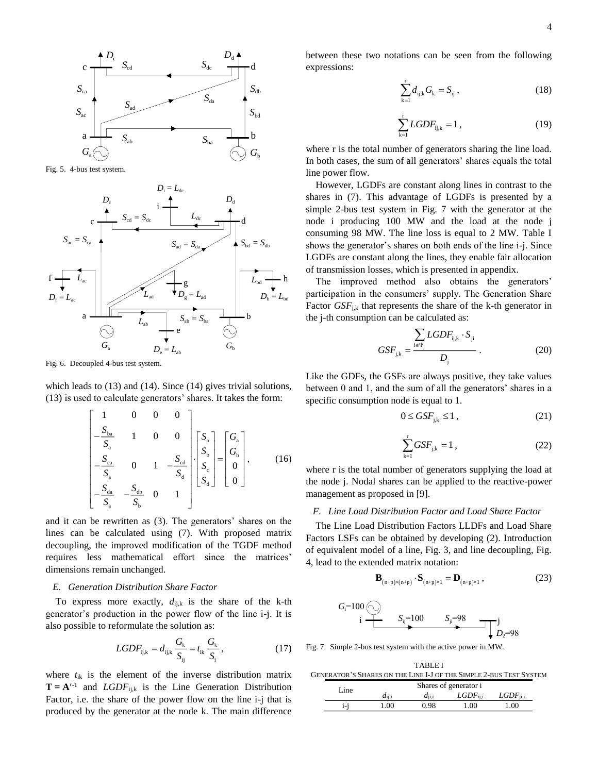

Fig. 5. 4-bus test system.



Fig. 6. Decoupled 4-bus test system.

which leads to  $(13)$  and  $(14)$ . Since  $(14)$  gives trivial solutions, (13) is used to calculate generators' shares. It takes the form:

$$
\begin{bmatrix} 1 & 0 & 0 & 0 \ -\frac{S_{ba}}{S_a} & 1 & 0 & 0 \ -\frac{S_{ca}}{S_a} & 0 & 1 & -\frac{S_{cd}}{S_d} \ \end{bmatrix} \begin{bmatrix} S_a \\ S_b \\ S_c \\ S_d \end{bmatrix} = \begin{bmatrix} G_a \\ G_b \\ 0 \\ 0 \end{bmatrix},
$$
(16)

and it can be rewritten as (3). The generators' shares on the lines can be calculated using (7). With proposed matrix decoupling, the improved modification of the TGDF method requires less mathematical effort since the matrices' dimensions remain unchanged.

## *E. Generation Distribution Share Factor*

To express more exactly,  $d_{i,j,k}$  is the share of the k-th generator's production in the power flow of the line i-j. It is also possible to reformulate the solution as:

$$
LGDF_{ijk} = d_{ijk} \frac{G_k}{S_{ij}} = t_{ik} \frac{G_k}{S_i},
$$
 (17)

where *t*ik is the element of the inverse distribution matrix  $\mathbf{T} = \mathbf{A}^{t-1}$  and *LGDF*<sub>ijk</sub> is the Line Generation Distribution Factor, i.e. the share of the power flow on the line i-j that is produced by the generator at the node k. The main difference

$$
\sum_{k=1}^{r} d_{ij,k} G_k = S_{ij}, \qquad (18)
$$

$$
\sum_{k=1}^{r} LGDF_{ijk} = 1, \qquad (19)
$$

where r is the total number of generators sharing the line load. In both cases, the sum of all generators' shares equals the total line power flow.

However, LGDFs are constant along lines in contrast to the shares in (7). This advantage of LGDFs is presented by a simple 2-bus test system in Fig. 7 with the generator at the node i producing 100 MW and the load at the node j consuming 98 MW. The line loss is equal to 2 MW. Table I shows the generator's shares on both ends of the line i-j. Since LGDFs are constant along the lines, they enable fair allocation of transmission losses, which is presented in appendix.

The improved method also obtains the generators' participation in the consumers' supply. The Generation Share Factor  $GSF_{ik}$  that represents the share of the k-th generator in the j-th consumption can be calculated as:

$$
GSF_{j,k} = \frac{\sum_{i \in \Psi_j} LGDF_{ij,k} \cdot S_{ji}}{D_j} \,. \tag{20}
$$

Like the GDFs, the GSFs are always positive, they take values between 0 and 1, and the sum of all the generators' shares in a specific consumption node is equal to 1.

$$
0 \le GSF_{j,k} \le 1 \,, \tag{21}
$$

$$
\sum_{k=1}^{r} GSF_{j,k} = 1 , \qquad (22)
$$

where r is the total number of generators supplying the load at the node j. Nodal shares can be applied to the reactive-power management as proposed in [9].

### *F. Line Load Distribution Factor and Load Share Factor*

The Line Load Distribution Factors LLDFs and Load Share Factors LSFs can be obtained by developing (2). Introduction of equivalent model of a line, Fig. 3, and line decoupling, Fig. 4, lead to the extended matrix notation:

$$
\mathbf{B}_{(n+p)\times(n+p)} \cdot \mathbf{S}_{(n+p)\times 1} = \mathbf{D}_{(n+p)\times 1} \,, \tag{23}
$$

$$
G_i=100 \bigodot \hspace{1cm} S_{ij}=100 \hspace{1cm} S_{ji}=98 \hspace{1cm} j \hspace{1cm} D_2=98
$$

Fig. 7. Simple 2-bus test system with the active power in MW.

TABLE I GENERATOR'S SHARES ON THE LINE I-J OF THE SIMPLE 2-BUS TEST SYSTEM

|  | Line | Shares of generator i |          |                               |             |  |  |
|--|------|-----------------------|----------|-------------------------------|-------------|--|--|
|  |      | $d_{\rm ii.i}$        | $di$ i.i | $\mathit{LGDF}_{\text{ii.i}}$ | $LGDF$ ii.i |  |  |
|  | i-j  | .00.                  | 0.98     | 1.00                          | 1.00        |  |  |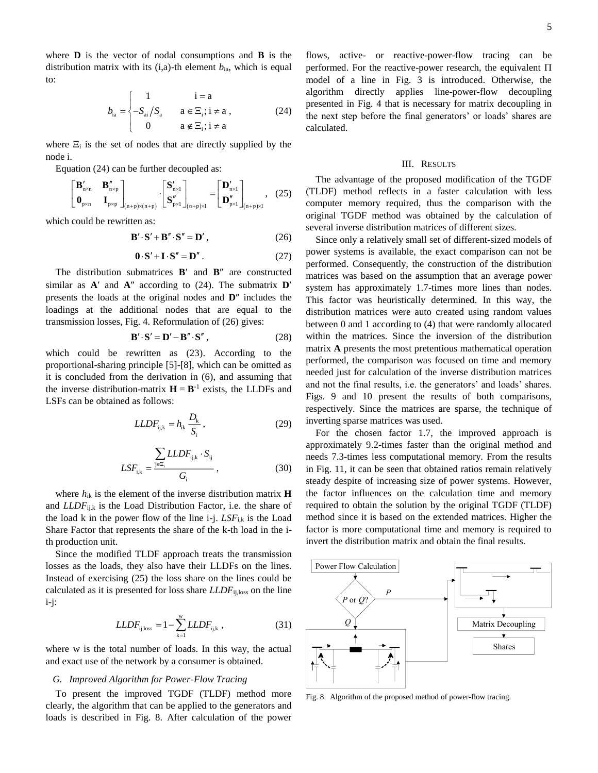where **D** is the vector of nodal consumptions and **B** is the distribution matrix with its  $(i, a)$ -th element  $b_{ia}$ , which is equal to:

$$
b_{ia} = \begin{cases} 1 & i = a \\ -S_{ai}/S_a & a \in \Xi_i; i \neq a \\ 0 & a \notin \Xi_i; i \neq a \end{cases}
$$
 (24)

where  $\Xi_i$  is the set of nodes that are directly supplied by the node i.

Equation (24) can be further decoupled as:

$$
\begin{bmatrix} \mathbf{B}_{n \times n}' & \mathbf{B}_{n \times p}'' \\ \mathbf{0}_{p \times n} & \mathbf{I}_{p \times p} \end{bmatrix}_{(n+p) \times (n+p)} \cdot \begin{bmatrix} \mathbf{S}_{n \times 1}' \\ \mathbf{S}_{p \times 1}'' \end{bmatrix}_{(n+p) \times 1} = \begin{bmatrix} \mathbf{D}_{n \times 1}' \\ \mathbf{D}_{p \times 1}'' \end{bmatrix}_{(n+p) \times 1}, \quad (25)
$$

which could be rewritten as:

$$
\mathbf{B}' \cdot \mathbf{S}' + \mathbf{B}'' \cdot \mathbf{S}'' = \mathbf{D}'\,,\tag{26}
$$

$$
\mathbf{0} \cdot \mathbf{S}' + \mathbf{I} \cdot \mathbf{S}'' = \mathbf{D}'' \,. \tag{27}
$$

The distribution submatrices  $B'$  and  $B''$  are constructed similar as  $A'$  and  $A''$  according to (24). The submatrix  $D'$ presents the loads at the original nodes and **D**<sup>*''*</sup> includes the loadings at the additional nodes that are equal to the transmission losses, Fig. 4. Reformulation of (26) gives:

$$
\mathbf{B}' \cdot \mathbf{S}' = \mathbf{D}' - \mathbf{B}'' \cdot \mathbf{S}'' , \qquad (28)
$$

which could be rewritten as (23). According to the proportional-sharing principle [5]-[8], which can be omitted as it is concluded from the derivation in (6), and assuming that the inverse distribution-matrix  $H = B^{-1}$  exists, the LLDFs and LSFs can be obtained as follows:

$$
LLDF_{ijk} = h_{ik} \frac{D_k}{S_i},\qquad(29)
$$

$$
LSF_{i,k} = \frac{\sum_{j \in \Xi_i} LLDF_{ij,k} \cdot S_{ij}}{G_i},
$$
\n(30)

where *h*ik is the element of the inverse distribution matrix **H** and *LLDF*<sub>ij,k</sub> is the Load Distribution Factor, i.e. the share of the load k in the power flow of the line  $i-j$ .  $LSF_{i,k}$  is the Load Share Factor that represents the share of the k-th load in the ith production unit.

Since the modified TLDF approach treats the transmission losses as the loads, they also have their LLDFs on the lines. Instead of exercising (25) the loss share on the lines could be calculated as it is presented for loss share *LLDF*ij,loss on the line i-j:

$$
LLDF_{ij,loss} = 1 - \sum_{k=1}^{w} LLDF_{ij,k} \t\t(31)
$$

where w is the total number of loads. In this way, the actual and exact use of the network by a consumer is obtained.

### *G. Improved Algorithm for Power-Flow Tracing*

To present the improved TGDF (TLDF) method more clearly, the algorithm that can be applied to the generators and loads is described in Fig. 8. After calculation of the power

flows, active- or reactive-power-flow tracing can be performed. For the reactive-power research, the equivalent  $\Pi$ model of a line in Fig. 3 is introduced. Otherwise, the algorithm directly applies line-power-flow decoupling presented in Fig. 4 that is necessary for matrix decoupling in the next step before the final generators' or loads' shares are calculated.

# III. RESULTS

The advantage of the proposed modification of the TGDF (TLDF) method reflects in a faster calculation with less computer memory required, thus the comparison with the original TGDF method was obtained by the calculation of several inverse distribution matrices of different sizes.

Since only a relatively small set of different-sized models of power systems is available, the exact comparison can not be performed. Consequently, the construction of the distribution matrices was based on the assumption that an average power system has approximately 1.7-times more lines than nodes. This factor was heuristically determined. In this way, the distribution matrices were auto created using random values between 0 and 1 according to (4) that were randomly allocated within the matrices. Since the inversion of the distribution matrix **A** presents the most pretentious mathematical operation performed, the comparison was focused on time and memory needed just for calculation of the inverse distribution matrices and not the final results, i.e. the generators' and loads' shares. Figs. 9 and 10 present the results of both comparisons, respectively. Since the matrices are sparse, the technique of inverting sparse matrices was used.

For the chosen factor 1.7, the improved approach is approximately 9.2-times faster than the original method and needs 7.3-times less computational memory. From the results in Fig. 11, it can be seen that obtained ratios remain relatively steady despite of increasing size of power systems. However, the factor influences on the calculation time and memory required to obtain the solution by the original TGDF (TLDF) method since it is based on the extended matrices. Higher the factor is more computational time and memory is required to invert the distribution matrix and obtain the final results.



Fig. 8. Algorithm of the proposed method of power-flow tracing.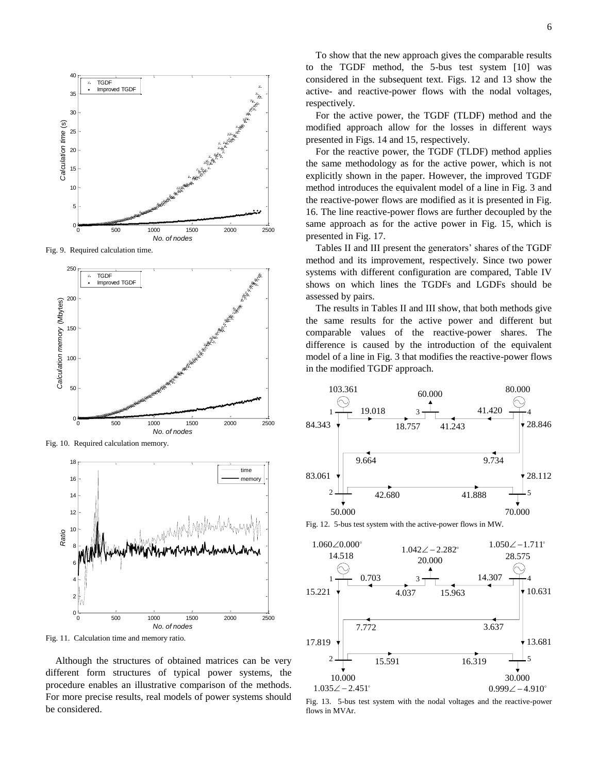

Fig. 9. Required calculation time.



Fig. 10. Required calculation memory.



Fig. 11. Calculation time and memory ratio.

Although the structures of obtained matrices can be very different form structures of typical power systems, the procedure enables an illustrative comparison of the methods. For more precise results, real models of power systems should be considered.

To show that the new approach gives the comparable results to the TGDF method, the 5-bus test system [10] was considered in the subsequent text. Figs. 12 and 13 show the active- and reactive-power flows with the nodal voltages, respectively.

For the active power, the TGDF (TLDF) method and the modified approach allow for the losses in different ways presented in Figs. 14 and 15, respectively.

For the reactive power, the TGDF (TLDF) method applies the same methodology as for the active power, which is not explicitly shown in the paper. However, the improved TGDF method introduces the equivalent model of a line in Fig. 3 and the reactive-power flows are modified as it is presented in Fig. 16. The line reactive-power flows are further decoupled by the same approach as for the active power in Fig. 15, which is presented in Fig. 17.

Tables II and III present the generators' shares of the TGDF method and its improvement, respectively. Since two power systems with different configuration are compared, Table IV shows on which lines the TGDFs and LGDFs should be assessed by pairs.

The results in Tables II and III show, that both methods give the same results for the active power and different but comparable values of the reactive-power shares. The difference is caused by the introduction of the equivalent model of a line in Fig. 3 that modifies the reactive-power flows in the modified TGDF approach.



Fig. 12. 5-bus test system with the active-power flows in MW.



Fig. 13. 5-bus test system with the nodal voltages and the reactive-power flows in MVAr.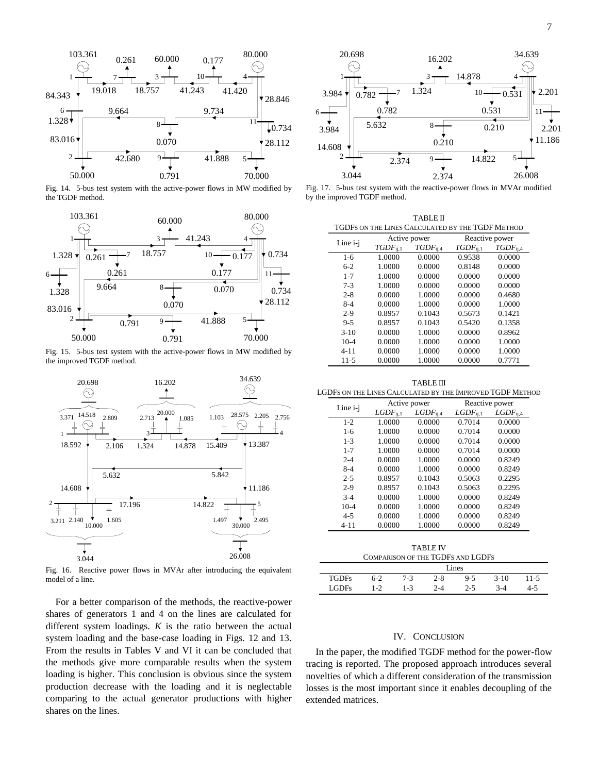

Fig. 14. 5-bus test system with the active-power flows in MW modified by the TGDF method.



Fig. 15. 5-bus test system with the active-power flows in MW modified by the improved TGDF method.



Fig. 16. Reactive power flows in MVAr after introducing the equivalent model of a line.

For a better comparison of the methods, the reactive-power shares of generators 1 and 4 on the lines are calculated for different system loadings. *K* is the ratio between the actual system loading and the base-case loading in Figs. 12 and 13. From the results in Tables V and VI it can be concluded that the methods give more comparable results when the system loading is higher. This conclusion is obvious since the system production decrease with the loading and it is neglectable comparing to the actual generator productions with higher shares on the lines.



Fig. 17. 5-bus test system with the reactive-power flows in MVAr modified by the improved TGDF method.

| TABLE II                                         |               |                |                |               |  |  |  |
|--------------------------------------------------|---------------|----------------|----------------|---------------|--|--|--|
| TGDFS ON THE LINES CALCULATED BY THE TGDF METHOD |               |                |                |               |  |  |  |
|                                                  | Active power  |                | Reactive power |               |  |  |  |
| Line i-j                                         | $TGDF_{1i,1}$ | $TGDF_{i,i,4}$ | $TGDF_{11.1}$  | $TGDF_{1i,4}$ |  |  |  |
| $1 - 6$                                          | 1.0000        | 0.0000         | 0.9538         | 0.0000        |  |  |  |
| $6-2$                                            | 1.0000        | 0.0000         | 0.8148         | 0.0000        |  |  |  |
| $1 - 7$                                          | 1.0000        | 0.0000         | 0.0000         | 0.0000        |  |  |  |
| $7 - 3$                                          | 1.0000        | 0.0000         | 0.0000         | 0.0000        |  |  |  |
| $2 - 8$                                          | 0.0000        | 1.0000         | 0.0000         | 0.4680        |  |  |  |
| $8-4$                                            | 0.0000        | 1.0000         | 0.0000         | 1.0000        |  |  |  |
| $2 - 9$                                          | 0.8957        | 0.1043         | 0.5673         | 0.1421        |  |  |  |
| $9 - 5$                                          | 0.8957        | 0.1043         | 0.5420         | 0.1358        |  |  |  |
| $3-10$                                           | 0.0000        | 1.0000         | 0.0000         | 0.8962        |  |  |  |
| $10-4$                                           | 0.0000        | 1.0000         | 0.0000         | 1.0000        |  |  |  |
| $4 - 11$                                         | 0.0000        | 1.0000         | 0.0000         | 1.0000        |  |  |  |
| $11 - 5$                                         | 0.0000        | 1.0000         | 0.0000         | 0.7771        |  |  |  |
|                                                  |               |                |                |               |  |  |  |

TABLE III

|          |              | Active power   | Reactive power |                |  |
|----------|--------------|----------------|----------------|----------------|--|
| Line i-j | $LGDF_{i,i}$ | $LGDF_{i,i,4}$ | $LGDF_{11.1}$  | $LGDF_{i,i,4}$ |  |
| $1 - 2$  | 1.0000       | 0.0000         | 0.7014         | 0.0000         |  |
| $1 - 6$  | 1.0000       | 0.0000         | 0.7014         | 0.0000         |  |
| $1 - 3$  | 1.0000       | 0.0000         | 0.7014         | 0.0000         |  |
| $1 - 7$  | 1.0000       | 0.0000         | 0.7014         | 0.0000         |  |
| $2 - 4$  | 0.0000       | 1.0000         | 0.0000         | 0.8249         |  |
| $8 - 4$  | 0.0000       | 1.0000         | 0.0000         | 0.8249         |  |
| $2 - 5$  | 0.8957       | 0.1043         | 0.5063         | 0.2295         |  |
| $2 - 9$  | 0.8957       | 0.1043         | 0.5063         | 0.2295         |  |
| $3 - 4$  | 0.0000       | 1.0000         | 0.0000         | 0.8249         |  |
| $10 - 4$ | 0.0000       | 1.0000         | 0.0000         | 0.8249         |  |
| $4 - 5$  | 0.0000       | 1.0000         | 0.0000         | 0.8249         |  |
| $4 - 11$ | 0.0000       | 1.0000         | 0.0000         | 0.8249         |  |

TABLE IV COMPARISON OF THE TGDFS AND LGDFS

|              | Lines |     |         |         |        |      |
|--------------|-------|-----|---------|---------|--------|------|
| <b>TGDFs</b> | 6-2   | 7-3 | $2 - 8$ | $9 - 5$ | $3-10$ | 11-5 |
| <b>LGDFs</b> | 1-2   | 1-3 | $2 - 4$ | $2 - 5$ | 3-4    | 4-5  |

#### IV. CONCLUSION

In the paper, the modified TGDF method for the power-flow tracing is reported. The proposed approach introduces several novelties of which a different consideration of the transmission losses is the most important since it enables decoupling of the extended matrices.